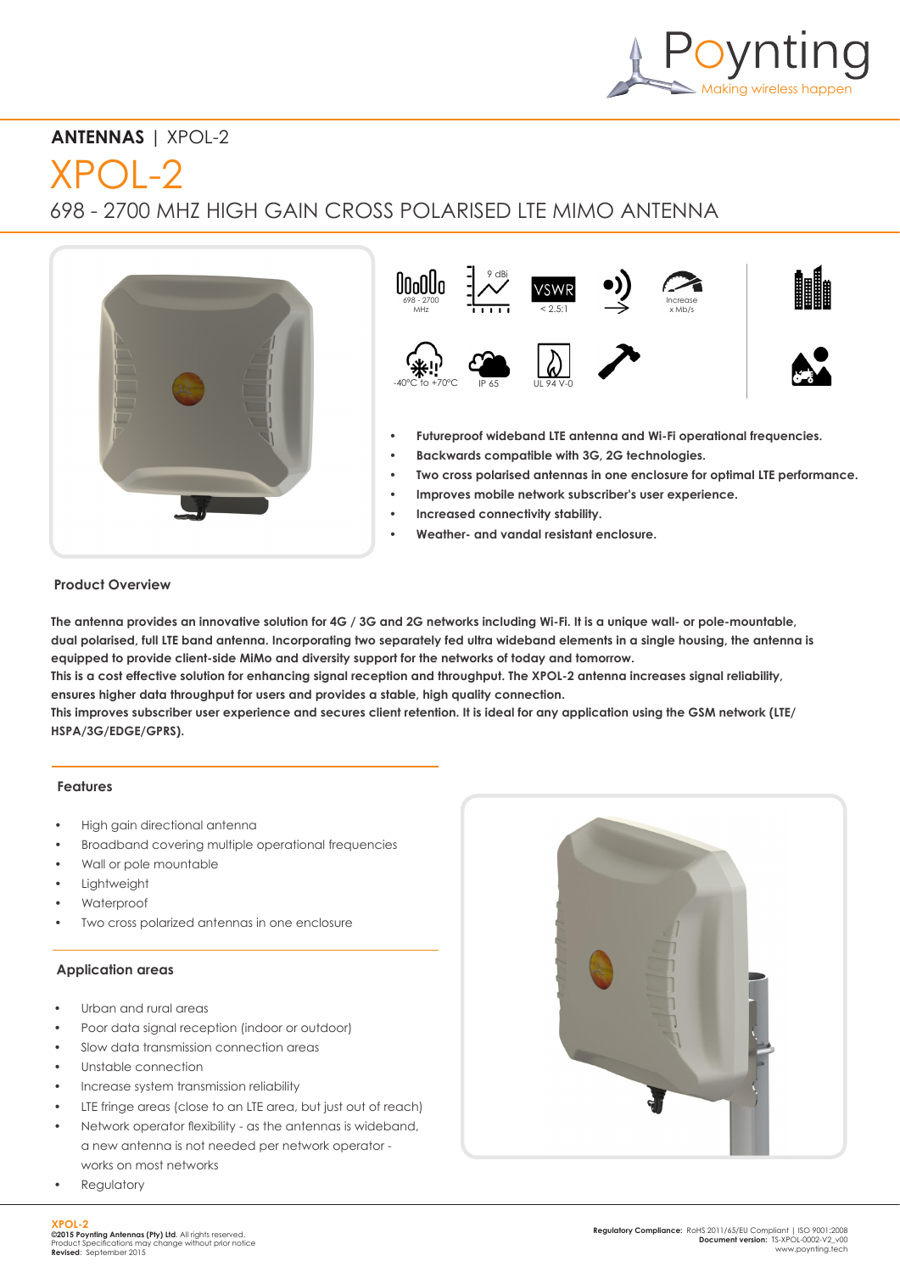

## **ANTENNAS** | XPOL-2

# $XPOL-2$

698 - 2700 MHZ HIGH GAIN CROSS POLARISED LTE MIMO ANTENNA





- **• Futureproof wideband LTE antenna and Wi-Fi operational frequencies.**
- **• Backwards compatible with 3G, 2G technologies.**
- **• Two cross polarised antennas in one enclosure for optimal LTE performance.**
- **• Improves mobile network subscriber's user experience.**
- **• Increased connectivity stability.**
- **• Weather- and vandal resistant enclosure.**

## **Product Overview**

**The antenna provides an innovative solution for 4G / 3G and 2G networks including Wi-Fi. It is a unique wall- or pole-mountable, dual polarised, full LTE band antenna. Incorporating two separately fed ultra wideband elements in a single housing, the antenna is equipped to provide client-side MiMo and diversity support for the networks of today and tomorrow.**

**This is a cost effective solution for enhancing signal reception and throughput. The XPOL-2 antenna increases signal reliability, ensures higher data throughput for users and provides a stable, high quality connection.**

**This improves subscriber user experience and secures client retention. It is ideal for any application using the GSM network (LTE/ HSPA/3G/EDGE/GPRS).**

#### **Features**

- High gain directional antenna
- Broadband covering multiple operational frequencies
- Wall or pole mountable
- **Lightweight**
- Waterproof
- Two cross polarized antennas in one enclosure

#### **Application areas**

- Urban and rural areas
- Poor data signal reception (indoor or outdoor)
- Slow data transmission connection areas
- Unstable connection
- Increase system transmission reliability
- LTE fringe areas (close to an LTE area, but just out of reach)
- Network operator flexibility as the antennas is wideband, a new antenna is not needed per network operator works on most networks
- **Regulatory**

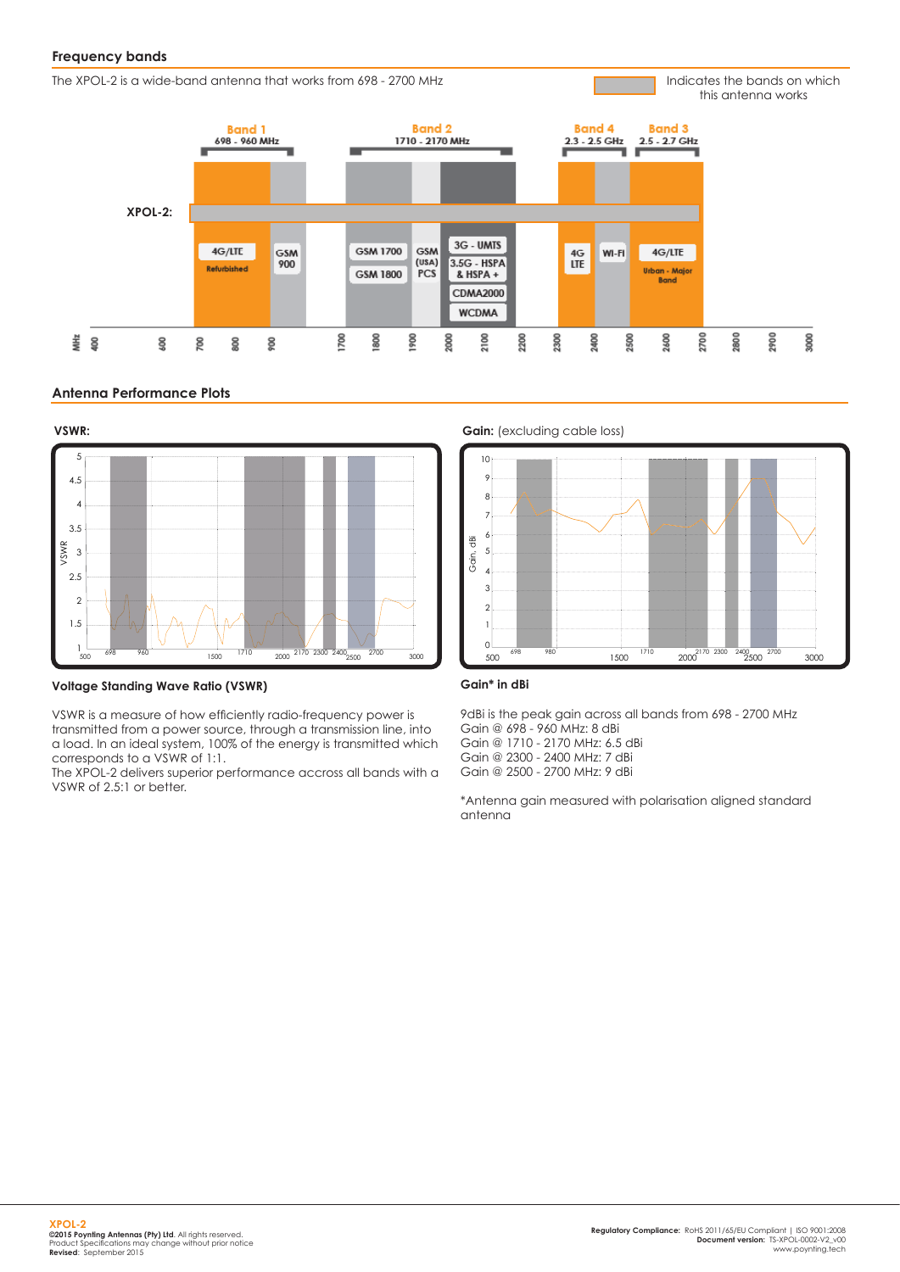#### **Frequency bands**

The XPOL-2 is a wide-band antenna that works from 698 - 2700 MHz

Indicates the bands on which this antenna works



#### **Antenna Performance Plots**



**Voltage Standing Wave Ratio (VSWR)**

VSWR is a measure of how efficiently radio-frequency power is transmitted from a power source, through a transmission line, into a load. In an ideal system, 100% of the energy is transmitted which corresponds to a VSWR of 1:1.

The XPOL-2 delivers superior performance accross all bands with a VSWR of 2.5:1 or better.



#### **Gain\* in dBi**

9dBi is the peak gain across all bands from 698 - 2700 MHz Gain @ 698 - 960 MHz: 8 dBi Gain @ 1710 - 2170 MHz: 6.5 dBi Gain @ 2300 - 2400 MHz: 7 dBi

Gain @ 2500 - 2700 MHz: 9 dBi

\*Antenna gain measured with polarisation aligned standard antenna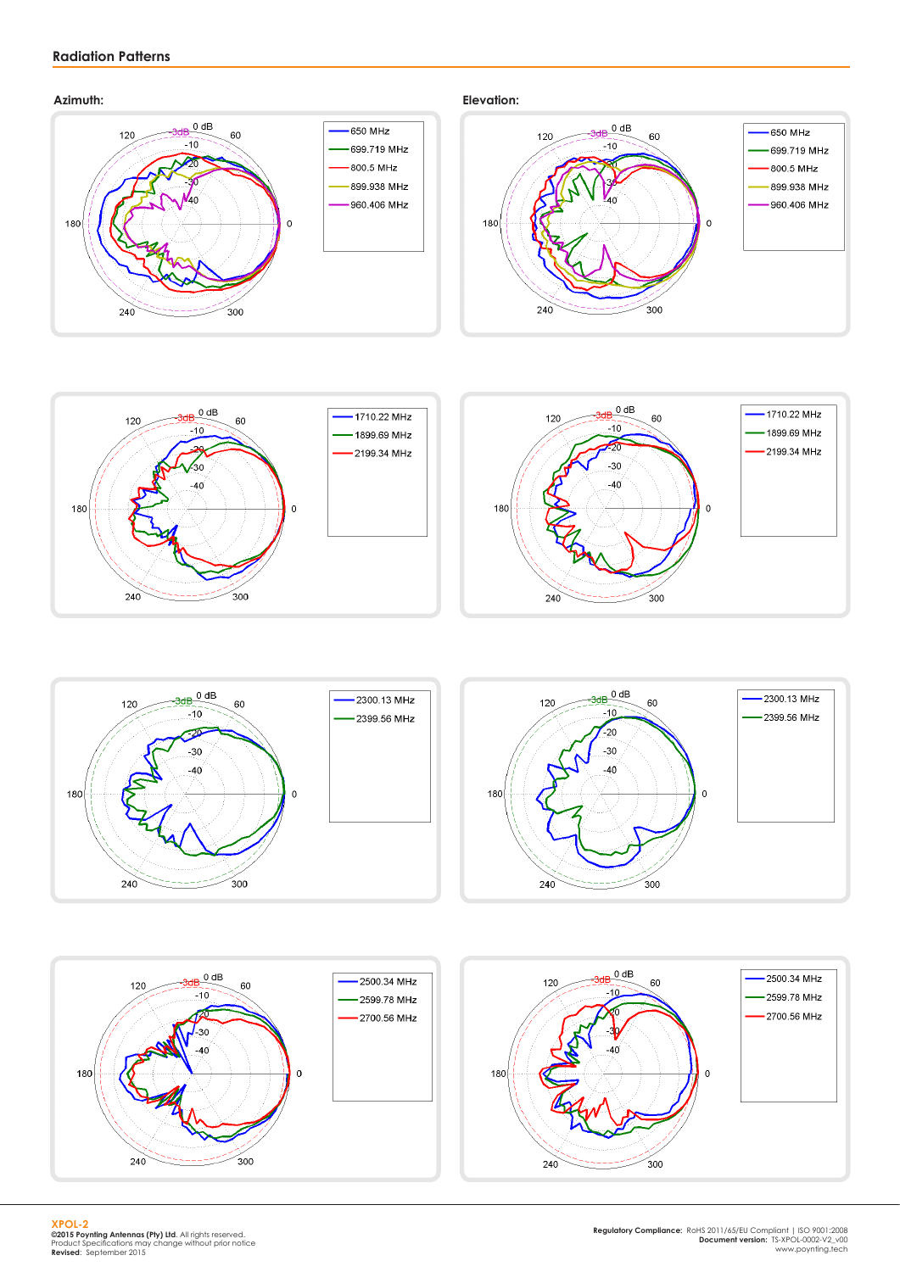### **Radiation Patterns**

#### **Azimuth: Elevation:**











**XPOL-2 ©2015 Poynting Antennas (Pty) Ltd**. All rights reserved. Product Specifications may change without prior notice **Revised**: September 2015